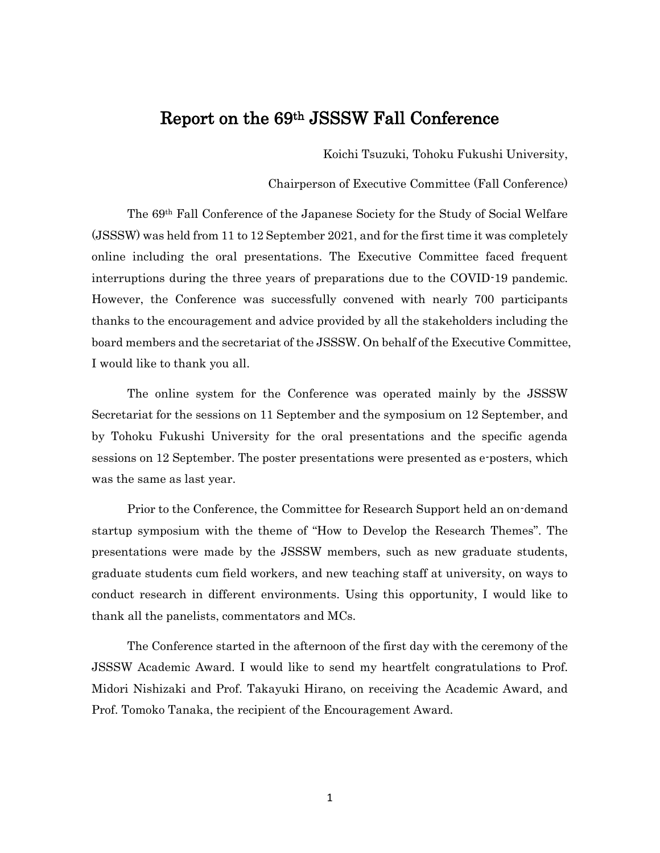# Report on the 69th JSSSW Fall Conference

Koichi Tsuzuki, Tohoku Fukushi University,

Chairperson of Executive Committee (Fall Conference)

The 69th Fall Conference of the Japanese Society for the Study of Social Welfare (JSSSW) was held from 11 to 12 September 2021, and for the first time it was completely online including the oral presentations. The Executive Committee faced frequent interruptions during the three years of preparations due to the COVID-19 pandemic. However, the Conference was successfully convened with nearly 700 participants thanks to the encouragement and advice provided by all the stakeholders including the board members and the secretariat of the JSSSW. On behalf of the Executive Committee, I would like to thank you all.

The online system for the Conference was operated mainly by the JSSSW Secretariat for the sessions on 11 September and the symposium on 12 September, and by Tohoku Fukushi University for the oral presentations and the specific agenda sessions on 12 September. The poster presentations were presented as e-posters, which was the same as last year.

Prior to the Conference, the Committee for Research Support held an on-demand startup symposium with the theme of "How to Develop the Research Themes". The presentations were made by the JSSSW members, such as new graduate students, graduate students cum field workers, and new teaching staff at university, on ways to conduct research in different environments. Using this opportunity, I would like to thank all the panelists, commentators and MCs.

The Conference started in the afternoon of the first day with the ceremony of the JSSSW Academic Award. I would like to send my heartfelt congratulations to Prof. Midori Nishizaki and Prof. Takayuki Hirano, on receiving the Academic Award, and Prof. Tomoko Tanaka, the recipient of the Encouragement Award.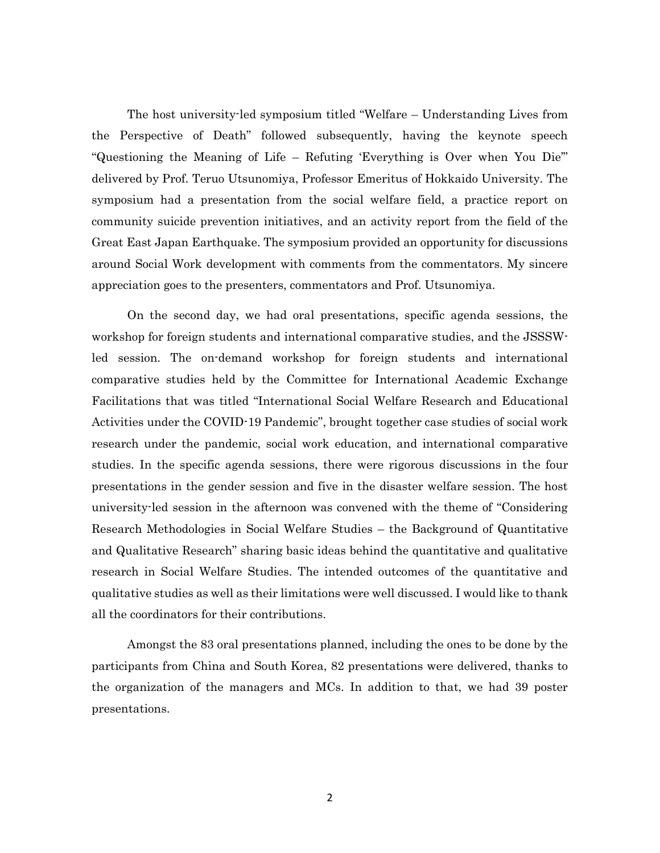The host university-led symposium titled "Welfare – Understanding Lives from the Perspective of Death" followed subsequently, having the keynote speech "Questioning the Meaning of Life – Refuting 'Everything is Over when You Die'" delivered by Prof. Teruo Utsunomiya, Professor Emeritus of Hokkaido University. The symposium had a presentation from the social welfare field, a practice report on community suicide prevention initiatives, and an activity report from the field of the Great East Japan Earthquake. The symposium provided an opportunity for discussions around Social Work development with comments from the commentators. My sincere appreciation goes to the presenters, commentators and Prof. Utsunomiya.

On the second day, we had oral presentations, specific agenda sessions, the workshop for foreign students and international comparative studies, and the JSSSWled session. The on-demand workshop for foreign students and international comparative studies held by the Committee for International Academic Exchange Facilitations that was titled "International Social Welfare Research and Educational Activities under the COVID-19 Pandemic", brought together case studies of social work research under the pandemic, social work education, and international comparative studies. In the specific agenda sessions, there were rigorous discussions in the four presentations in the gender session and five in the disaster welfare session. The host university-led session in the afternoon was convened with the theme of "Considering Research Methodologies in Social Welfare Studies – the Background of Quantitative and Qualitative Research" sharing basic ideas behind the quantitative and qualitative research in Social Welfare Studies. The intended outcomes of the quantitative and qualitative studies as well as their limitations were well discussed. I would like to thank all the coordinators for their contributions.

Amongst the 83 oral presentations planned, including the ones to be done by the participants from China and South Korea, 82 presentations were delivered, thanks to the organization of the managers and MCs. In addition to that, we had 39 poster presentations.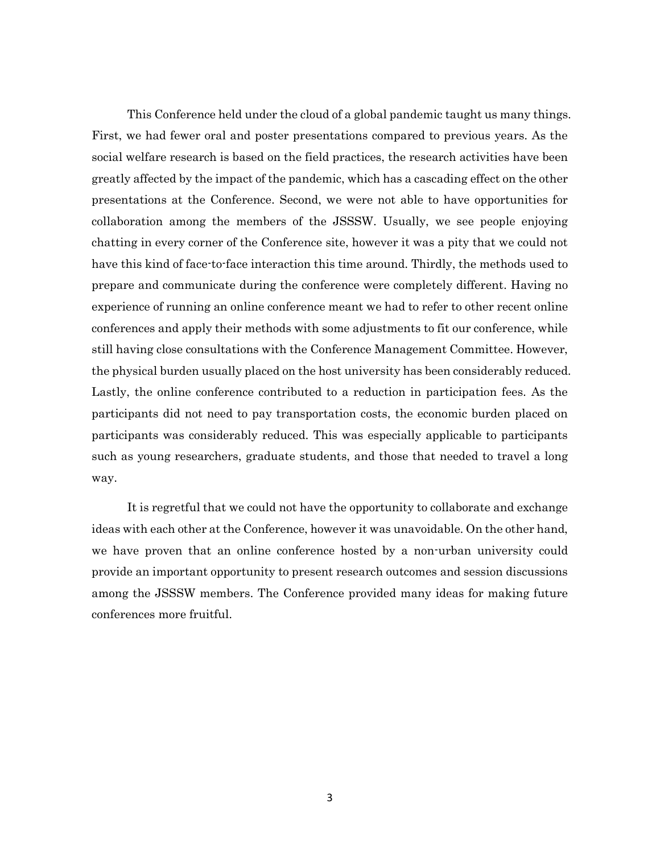This Conference held under the cloud of a global pandemic taught us many things. First, we had fewer oral and poster presentations compared to previous years. As the social welfare research is based on the field practices, the research activities have been greatly affected by the impact of the pandemic, which has a cascading effect on the other presentations at the Conference. Second, we were not able to have opportunities for collaboration among the members of the JSSSW. Usually, we see people enjoying chatting in every corner of the Conference site, however it was a pity that we could not have this kind of face-to-face interaction this time around. Thirdly, the methods used to prepare and communicate during the conference were completely different. Having no experience of running an online conference meant we had to refer to other recent online conferences and apply their methods with some adjustments to fit our conference, while still having close consultations with the Conference Management Committee. However, the physical burden usually placed on the host university has been considerably reduced. Lastly, the online conference contributed to a reduction in participation fees. As the participants did not need to pay transportation costs, the economic burden placed on participants was considerably reduced. This was especially applicable to participants such as young researchers, graduate students, and those that needed to travel a long way.

It is regretful that we could not have the opportunity to collaborate and exchange ideas with each other at the Conference, however it was unavoidable. On the other hand, we have proven that an online conference hosted by a non-urban university could provide an important opportunity to present research outcomes and session discussions among the JSSSW members. The Conference provided many ideas for making future conferences more fruitful.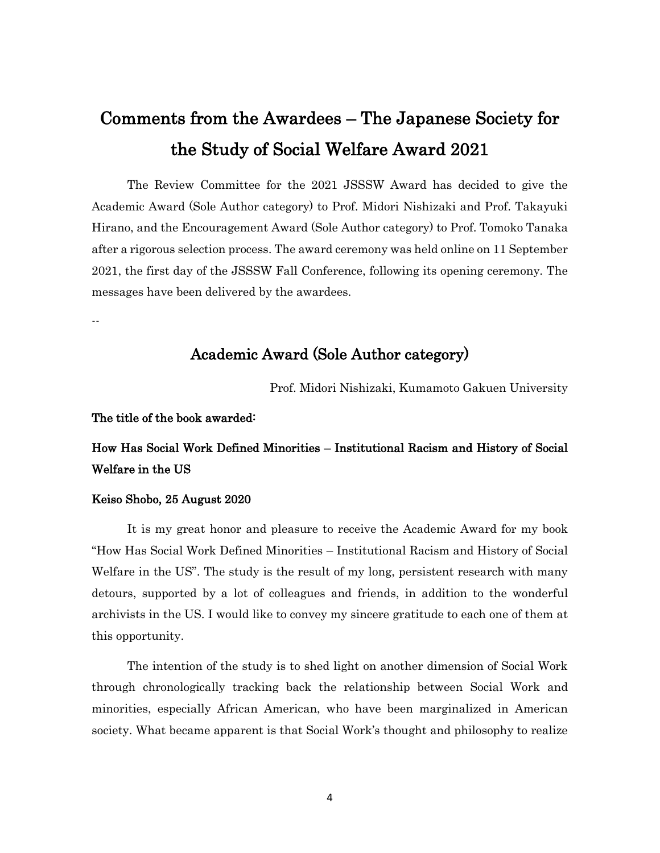# Comments from the Awardees – The Japanese Society for the Study of Social Welfare Award 2021

The Review Committee for the 2021 JSSSW Award has decided to give the Academic Award (Sole Author category) to Prof. Midori Nishizaki and Prof. Takayuki Hirano, and the Encouragement Award (Sole Author category) to Prof. Tomoko Tanaka after a rigorous selection process. The award ceremony was held online on 11 September 2021, the first day of the JSSSW Fall Conference, following its opening ceremony. The messages have been delivered by the awardees.

#### --

# Academic Award (Sole Author category)

Prof. Midori Nishizaki, Kumamoto Gakuen University

#### The title of the book awarded:

# How Has Social Work Defined Minorities – Institutional Racism and History of Social Welfare in the US

#### Keiso Shobo, 25 August 2020

It is my great honor and pleasure to receive the Academic Award for my book "How Has Social Work Defined Minorities – Institutional Racism and History of Social Welfare in the US". The study is the result of my long, persistent research with many detours, supported by a lot of colleagues and friends, in addition to the wonderful archivists in the US. I would like to convey my sincere gratitude to each one of them at this opportunity.

The intention of the study is to shed light on another dimension of Social Work through chronologically tracking back the relationship between Social Work and minorities, especially African American, who have been marginalized in American society. What became apparent is that Social Work's thought and philosophy to realize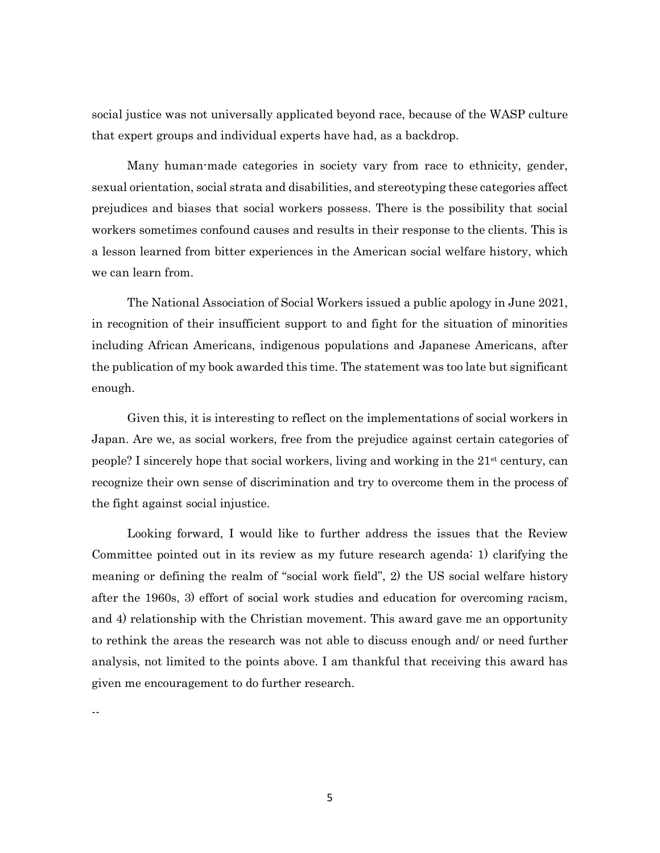social justice was not universally applicated beyond race, because of the WASP culture that expert groups and individual experts have had, as a backdrop.

Many human-made categories in society vary from race to ethnicity, gender, sexual orientation, social strata and disabilities, and stereotyping these categories affect prejudices and biases that social workers possess. There is the possibility that social workers sometimes confound causes and results in their response to the clients. This is a lesson learned from bitter experiences in the American social welfare history, which we can learn from.

The National Association of Social Workers issued a public apology in June 2021, in recognition of their insufficient support to and fight for the situation of minorities including African Americans, indigenous populations and Japanese Americans, after the publication of my book awarded this time. The statement was too late but significant enough.

Given this, it is interesting to reflect on the implementations of social workers in Japan. Are we, as social workers, free from the prejudice against certain categories of people? I sincerely hope that social workers, living and working in the 21st century, can recognize their own sense of discrimination and try to overcome them in the process of the fight against social injustice.

Looking forward, I would like to further address the issues that the Review Committee pointed out in its review as my future research agenda: 1) clarifying the meaning or defining the realm of "social work field", 2) the US social welfare history after the 1960s, 3) effort of social work studies and education for overcoming racism, and 4) relationship with the Christian movement. This award gave me an opportunity to rethink the areas the research was not able to discuss enough and/ or need further analysis, not limited to the points above. I am thankful that receiving this award has given me encouragement to do further research.

--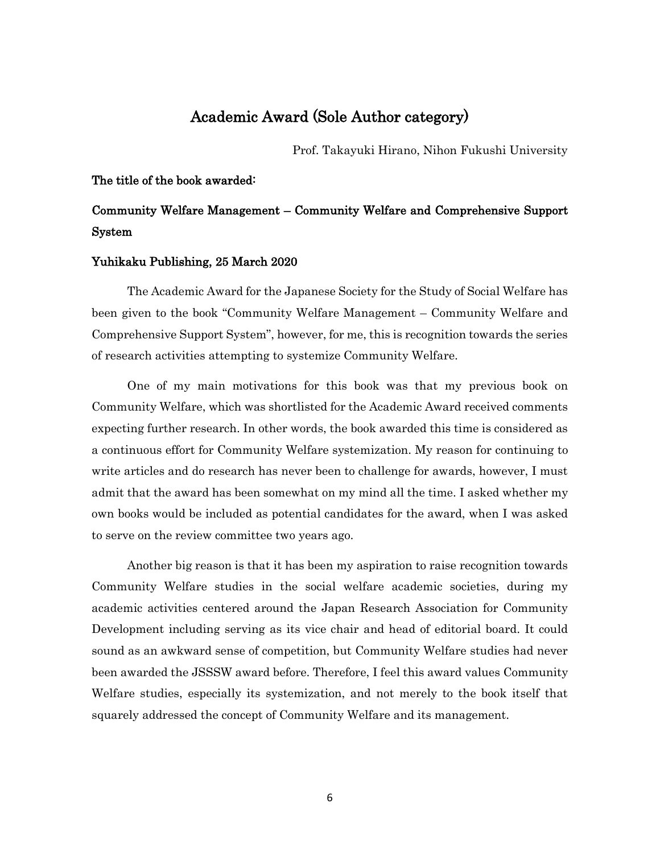# Academic Award (Sole Author category)

Prof. Takayuki Hirano, Nihon Fukushi University

The title of the book awarded:

# Community Welfare Management – Community Welfare and Comprehensive Support System

#### Yuhikaku Publishing, 25 March 2020

The Academic Award for the Japanese Society for the Study of Social Welfare has been given to the book "Community Welfare Management – Community Welfare and Comprehensive Support System", however, for me, this is recognition towards the series of research activities attempting to systemize Community Welfare.

One of my main motivations for this book was that my previous book on Community Welfare, which was shortlisted for the Academic Award received comments expecting further research. In other words, the book awarded this time is considered as a continuous effort for Community Welfare systemization. My reason for continuing to write articles and do research has never been to challenge for awards, however, I must admit that the award has been somewhat on my mind all the time. I asked whether my own books would be included as potential candidates for the award, when I was asked to serve on the review committee two years ago.

Another big reason is that it has been my aspiration to raise recognition towards Community Welfare studies in the social welfare academic societies, during my academic activities centered around the Japan Research Association for Community Development including serving as its vice chair and head of editorial board. It could sound as an awkward sense of competition, but Community Welfare studies had never been awarded the JSSSW award before. Therefore, I feel this award values Community Welfare studies, especially its systemization, and not merely to the book itself that squarely addressed the concept of Community Welfare and its management.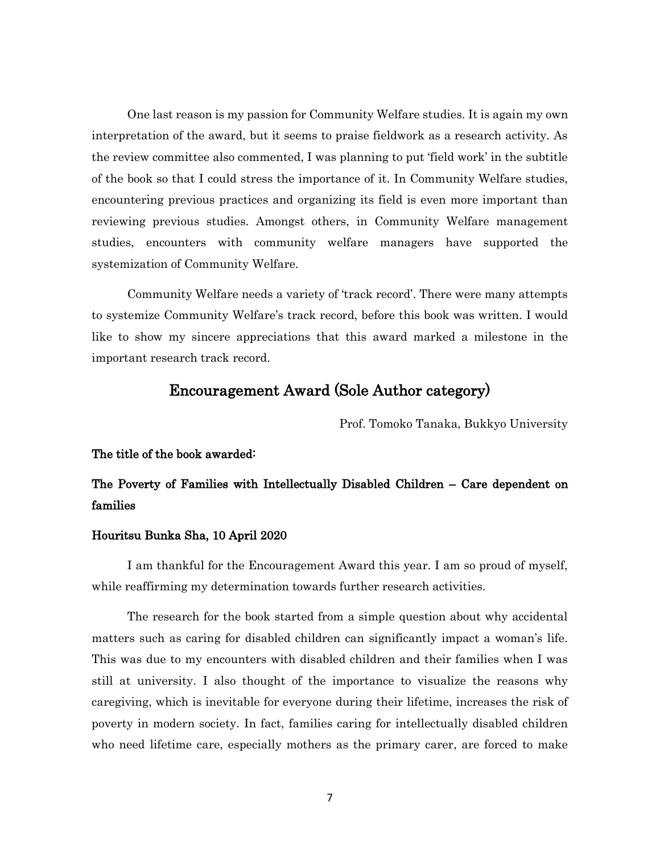One last reason is my passion for Community Welfare studies. It is again my own interpretation of the award, but it seems to praise fieldwork as a research activity. As the review committee also commented, I was planning to put 'field work' in the subtitle of the book so that I could stress the importance of it. In Community Welfare studies, encountering previous practices and organizing its field is even more important than reviewing previous studies. Amongst others, in Community Welfare management studies, encounters with community welfare managers have supported the systemization of Community Welfare.

Community Welfare needs a variety of 'track record'. There were many attempts to systemize Community Welfare's track record, before this book was written. I would like to show my sincere appreciations that this award marked a milestone in the important research track record.

### Encouragement Award (Sole Author category)

Prof. Tomoko Tanaka, Bukkyo University

#### The title of the book awarded:

## The Poverty of Families with Intellectually Disabled Children – Care dependent on families

#### Houritsu Bunka Sha, 10 April 2020

I am thankful for the Encouragement Award this year. I am so proud of myself, while reaffirming my determination towards further research activities.

The research for the book started from a simple question about why accidental matters such as caring for disabled children can significantly impact a woman's life. This was due to my encounters with disabled children and their families when I was still at university. I also thought of the importance to visualize the reasons why caregiving, which is inevitable for everyone during their lifetime, increases the risk of poverty in modern society. In fact, families caring for intellectually disabled children who need lifetime care, especially mothers as the primary carer, are forced to make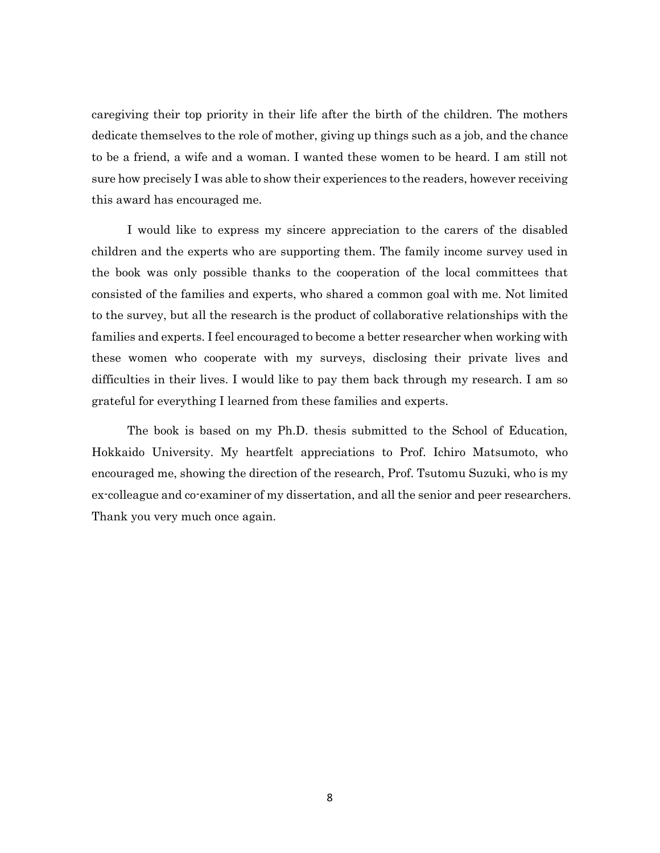caregiving their top priority in their life after the birth of the children. The mothers dedicate themselves to the role of mother, giving up things such as a job, and the chance to be a friend, a wife and a woman. I wanted these women to be heard. I am still not sure how precisely I was able to show their experiences to the readers, however receiving this award has encouraged me.

I would like to express my sincere appreciation to the carers of the disabled children and the experts who are supporting them. The family income survey used in the book was only possible thanks to the cooperation of the local committees that consisted of the families and experts, who shared a common goal with me. Not limited to the survey, but all the research is the product of collaborative relationships with the families and experts. I feel encouraged to become a better researcher when working with these women who cooperate with my surveys, disclosing their private lives and difficulties in their lives. I would like to pay them back through my research. I am so grateful for everything I learned from these families and experts.

The book is based on my Ph.D. thesis submitted to the School of Education, Hokkaido University. My heartfelt appreciations to Prof. Ichiro Matsumoto, who encouraged me, showing the direction of the research, Prof. Tsutomu Suzuki, who is my ex-colleague and co-examiner of my dissertation, and all the senior and peer researchers. Thank you very much once again.